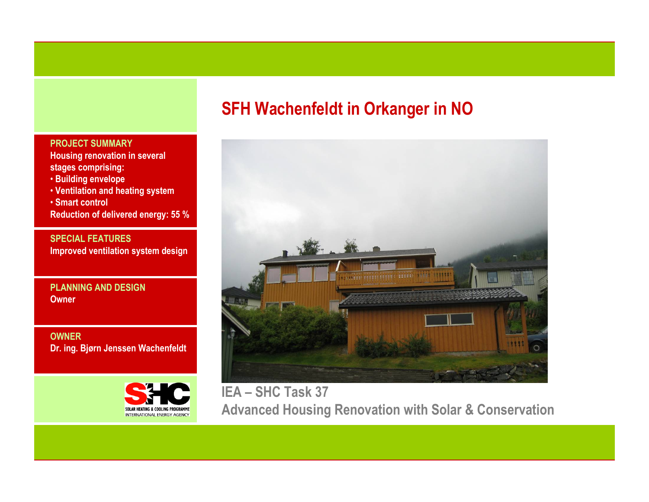## PROJECT SUMMARY

 Housing renovation in several stages comprising:

- Building envelope
- Ventilation and heating system

• Smart control Reduction of delivered energy: 55 %

SPECIAL FEATURESImproved ventilation system design

PLANNING AND DESIGN**Owner** 

OWNERDr. ing. Bjørn Jenssen Wachenfeldt



# SFH Wachenfeldt in Orkanger in NO



IEA – SHC Task 37 Advanced Housing Renovation with Solar & Conservation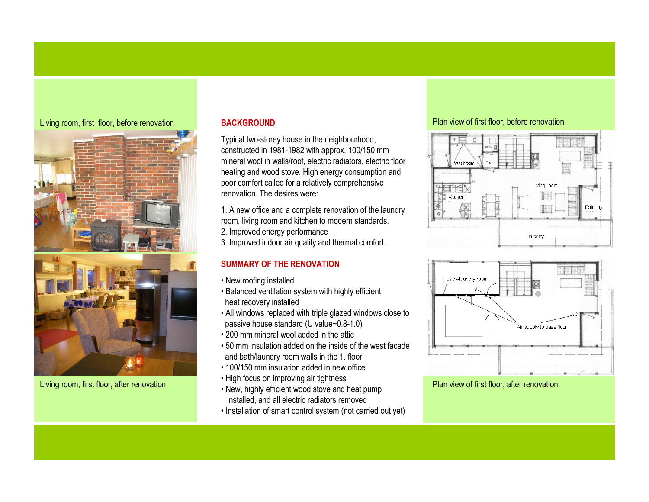## Living room, first floor, before renovation



Living room, first floor, after renovation

## **BACKGROUND**

Typical two-storey house in the neighbourhood, constructed in 1981-1982 with approx. 100/150 mm mineral wool in walls/roof, electric radiators, electric floor heating and wood stove. High energy consumption andpoor comfort called for a relatively comprehensive renovation. The desires were:

1. A new office and a complete renovation of the laundry room, living room and kitchen to modern standards.

2. Improved energy performance

3. Improved indoor air quality and thermal comfort.

## SUMMARY OF THE RENOVATION

- New roofing installed
- Balanced ventilation system with highly efficient heat recovery installed
- All windows replaced with triple glazed windows close to passive house standard (U value~0.8-1.0)
- 200 mm mineral wool added in the attic
- 50 mm insulation added on the inside of the west facade and bath/laundry room walls in the 1. floor
- 100/150 mm insulation added in new office
- High focus on improving air tightness
- New, highly efficient wood stove and heat pump installed, and all electric radiators removed
- Installation of smart control system (not carried out yet)

## Plan view of first floor, before renovation





Plan view of first floor, after renovation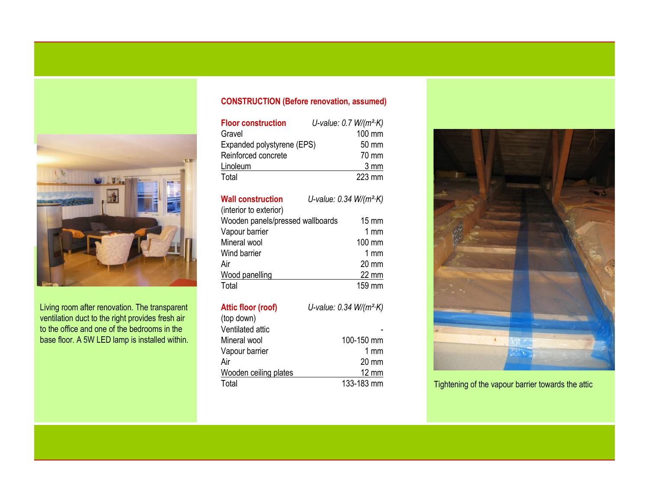

Living room after renovation. The transparent ventilation duct to the right provides fresh air to the office and one of the bedrooms in the base floor. A 5W LED lamp is installed within.

# CONSTRUCTION (Before renovation, assumed)

| <b>Floor construction</b>  | U-value: $0.7$ W/( $m^2$ ·K) |
|----------------------------|------------------------------|
| Gravel                     | 100 mm                       |
| Expanded polystyrene (EPS) | 50 mm                        |
| Reinforced concrete        | 70 mm                        |
| Linoleum                   | 3 mm                         |
| Total                      | 223 mm                       |

| <b>Wall construction</b><br>(interior to exterior) | U-value: $0.34 W/(m^2 K)$ |
|----------------------------------------------------|---------------------------|
| Wooden panels/pressed wallboards                   | $15 \text{ mm}$           |
| Vapour barrier                                     | 1 $mm$                    |
| Mineral wool                                       | 100 mm                    |
| Wind barrier                                       | $1 \text{ mm}$            |
| Air                                                | $20 \text{ mm}$           |
| Wood panelling                                     | 22 mm                     |
| Total                                              | $159 \text{ mm}$          |

| Attic floor (roof)    | U-value: $0.34 W/(m^2 K)$ |
|-----------------------|---------------------------|
| (top down)            |                           |
| Ventilated attic      |                           |
| Mineral wool          | 100-150 mm                |
| Vapour barrier        | 1 $mm$                    |
| Air                   | $20 \text{ mm}$           |
| Wooden ceiling plates | $12 \text{ mm}$           |
| Total                 | 133-183 mm                |



Tightening of the vapour barrier towards the attic